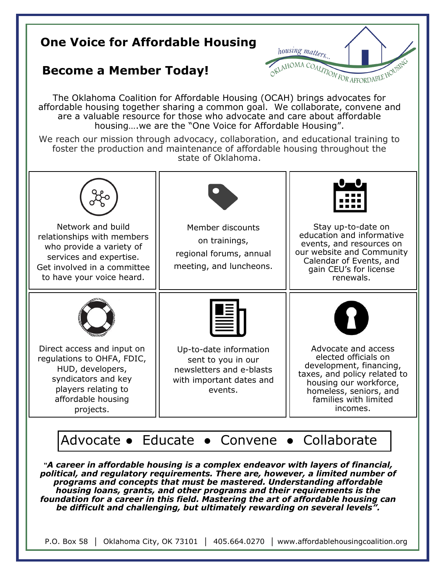